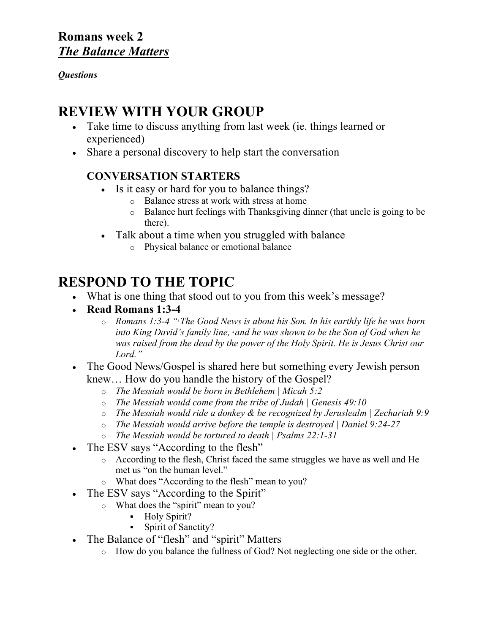## **Romans week 2** *The Balance Matters*

#### *Questions*

## **REVIEW WITH YOUR GROUP**

- Take time to discuss anything from last week (ie. things learned or experienced)
- Share a personal discovery to help start the conversation

## **CONVERSATION STARTERS**

- Is it easy or hard for you to balance things?
	- o Balance stress at work with stress at home
	- o Balance hurt feelings with Thanksgiving dinner (that uncle is going to be there).
- Talk about a time when you struggled with balance
	- o Physical balance or emotional balance

# **RESPOND TO THE TOPIC**

- What is one thing that stood out to you from this week's message?
- **Read Romans 1:3-4**
	- o *Romans 1:3-4 "3 The Good News is about his Son. In his earthly life he was born into King David's family line, 4 and he was shown to be the Son of God when he was raised from the dead by the power of the Holy Spirit. He is Jesus Christ our Lord."*
- The Good News/Gospel is shared here but something every Jewish person knew… How do you handle the history of the Gospel?
	- o *The Messiah would be born in Bethlehem | Micah 5:2*
	- o *The Messiah would come from the tribe of Judah | Genesis 49:10*
	- o *The Messiah would ride a donkey & be recognized by Jeruslealm | Zechariah 9:9*
	- o *The Messiah would arrive before the temple is destroyed | Daniel 9:24-27*
	- o *The Messiah would be tortured to death | Psalms 22:1-31*
- The ESV says "According to the flesh"
	- o According to the flesh, Christ faced the same struggles we have as well and He met us "on the human level."
	- o What does "According to the flesh" mean to you?
- The ESV says "According to the Spirit"
	- o What does the "spirit" mean to you?
		- § Holy Spirit?
		- § Spirit of Sanctity?
- The Balance of "flesh" and "spirit" Matters
	- o How do you balance the fullness of God? Not neglecting one side or the other.